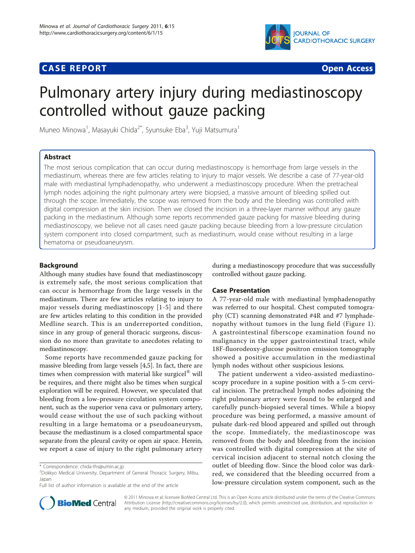# **CASE REPORT CASE REPORT CASE REPORT**



# Pulmonary artery injury during mediastinoscopy controlled without gauze packing

Muneo Minowa<sup>1</sup>, Masayuki Chida<sup>2\*</sup>, Syunsuke Eba<sup>3</sup>, Yuji Matsumura<sup>1</sup>

# Abstract

The most serious complication that can occur during mediastinoscopy is hemorrhage from large vessels in the mediastinum, whereas there are few articles relating to injury to major vessels. We describe a case of 77-year-old male with mediastinal lymphadenopathy, who underwent a mediastinoscopy procedure. When the pretracheal lymph nodes adjoining the right pulmonary artery were biopsied, a massive amount of bleeding spilled out through the scope. Immediately, the scope was removed from the body and the bleeding was controlled with digital compression at the skin incision. Then we closed the incision in a three-layer manner without any gauze packing in the mediastinum. Although some reports recommended gauze packing for massive bleeding during mediastinoscopy, we believe not all cases need gauze packing because bleeding from a low-pressure circulation system component into closed compartment, such as mediastinum, would cease without resulting in a large hematoma or pseudoaneurysm.

# Background

Although many studies have found that mediastinoscopy is extremely safe, the most serious complication that can occur is hemorrhage from the large vessels in the mediastinum. There are few articles relating to injury to major vessels during mediastinoscopy [[1](#page-2-0)-[5](#page-2-0)] and there are few articles relating to this condition in the provided Medline search. This is an underreported condition, since in any group of general thoracic surgeons, discussion do no more than gravitate to anecdotes relating to mediastinoscopy.

Some reports have recommended gauze packing for massive bleeding from large vessels [\[4,5](#page-2-0)]. In fact, there are times when compression with material like surgicel<sup>®</sup> will be requires, and there might also be times when surgical exploration will be required. However, we speculated that bleeding from a low-pressure circulation system component, such as the superior vena cava or pulmonary artery, would cease without the use of such packing without resulting in a large hematoma or a pseudoaneurysm, because the mediastinum is a closed compartmental space separate from the pleural cavity or open air space. Herein, we report a case of injury to the right pulmonary artery

during a mediastinoscopy procedure that was successfully controlled without gauze packing.

#### Case Presentation

A 77-year-old male with mediastinal lymphadenopathy was referred to our hospital. Chest computed tomography (CT) scanning demonstrated #4R and #7 lymphadenopathy without tumors in the lung field (Figure [1\)](#page-1-0). A gastrointestinal fiberscope examination found no malignancy in the upper gastrointestinal tract, while 18F-fluorodeoxy-glucose positron emission tomography showed a positive accumulation in the mediastinal lymph nodes without other suspicious lesions.

The patient underwent a video-assisted mediastinoscopy procedure in a supine position with a 5-cm cervical incision. The pretracheal lymph nodes adjoining the right pulmonary artery were found to be enlarged and carefully punch-biopsied several times. While a biopsy procedure was being performed, a massive amount of pulsate dark-red blood appeared and spilled out through the scope. Immediately, the mediastinoscope was removed from the body and bleeding from the incision was controlled with digital compression at the site of cervical incision adjacent to sternal notch closing the outlet of bleeding flow. Since the blood color was darkred, we considered that the bleeding occurred from a low-pressure circulation system component, such as the



© 2011 Minowa et al; licensee BioMed Central Ltd. This is an Open Access article distributed under the terms of the Creative Commons Attribution License [\(http://creativecommons.org/licenses/by/2.0](http://creativecommons.org/licenses/by/2.0)), which permits unrestricted use, distribution, and reproduction in any medium, provided the original work is properly cited.

<sup>\*</sup> Correspondence: [chida-ths@umin.ac.jp](mailto:chida-ths@umin.ac.jp)

<sup>2</sup> Dokkyo Medical University, Department of General Thoracic Surgery, Mibu, Japan

Full list of author information is available at the end of the article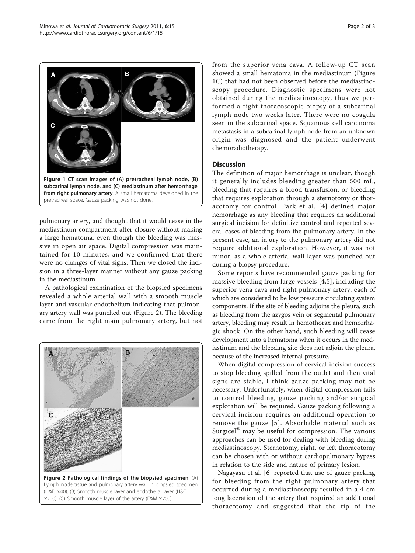<span id="page-1-0"></span>

pulmonary artery, and thought that it would cease in the mediastinum compartment after closure without making a large hematoma, even though the bleeding was massive in open air space. Digital compression was maintained for 10 minutes, and we confirmed that there were no changes of vital signs. Then we closed the incision in a three-layer manner without any gauze packing in the mediastinum.

A pathological examination of the biopsied specimens revealed a whole arterial wall with a smooth muscle layer and vascular endothelium indicating that pulmonary artery wall was punched out (Figure 2). The bleeding came from the right main pulmonary artery, but not



from the superior vena cava. A follow-up CT scan showed a small hematoma in the mediastinum (Figure 1C) that had not been observed before the mediastinoscopy procedure. Diagnostic specimens were not obtained during the mediastinoscopy, thus we performed a right thoracoscopic biopsy of a subcarinal lymph node two weeks later. There were no coagula seen in the subcarinal space. Squamous cell carcinoma metastasis in a subcarinal lymph node from an unknown origin was diagnosed and the patient underwent chemoradiotherapy.

# **Discussion**

The definition of major hemorrhage is unclear, though it generally includes bleeding greater than 500 mL, bleeding that requires a blood transfusion, or bleeding that requires exploration through a sternotomy or thoracotomy for control. Park et al. [\[4\]](#page-2-0) defined major hemorrhage as any bleeding that requires an additional surgical incision for definitive control and reported several cases of bleeding from the pulmonary artery. In the present case, an injury to the pulmonary artery did not require additional exploration. However, it was not minor, as a whole arterial wall layer was punched out during a biopsy procedure.

Some reports have recommended gauze packing for massive bleeding from large vessels [\[4](#page-2-0),[5\]](#page-2-0), including the superior vena cava and right pulmonary artery, each of which are considered to be low pressure circulating system components. If the site of bleeding adjoins the pleura, such as bleeding from the azygos vein or segmental pulmonary artery, bleeding may result in hemothorax and hemorrhagic shock. On the other hand, such bleeding will cease development into a hematoma when it occurs in the mediastinum and the bleeding site does not adjoin the pleura, because of the increased internal pressure.

When digital compression of cervical incision success to stop bleeding spilled from the outlet and then vital signs are stable, I think gauze packing may not be necessary. Unfortunately, when digital compression fails to control bleeding, gauze packing and/or surgical exploration will be required. Gauze packing following a cervical incision requires an additional operation to remove the gauze [[5\]](#page-2-0). Absorbable material such as Surgicel $^{\circledR}$  may be useful for compression. The various approaches can be used for dealing with bleeding during mediastinoscopy. Sternotomy, right, or left thoracotomy can be chosen with or without cardiopulmonary bypass in relation to the side and nature of primary lesion.

Nagayasu et al. [[6\]](#page-2-0) reported that use of gauze packing for bleeding from the right pulmonary artery that occurred during a mediastinoscopy resulted in a 4-cm long laceration of the artery that required an additional thoracotomy and suggested that the tip of the